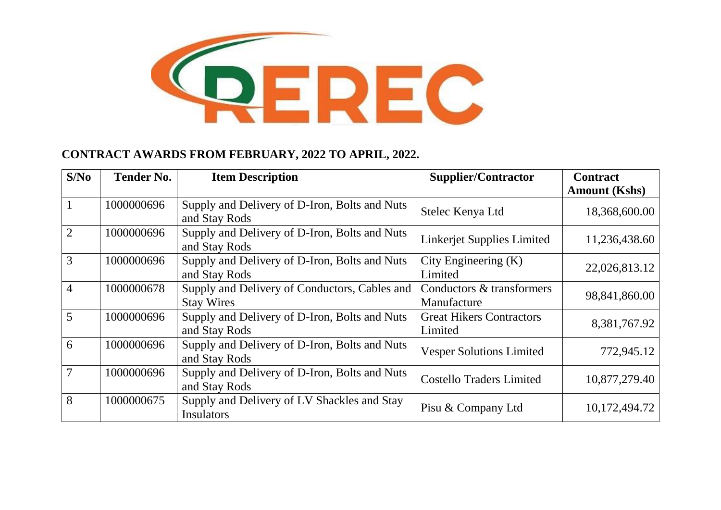

## **CONTRACT AWARDS FROM FEBRUARY, 2022 TO APRIL, 2022.**

| S/No           | <b>Tender No.</b> | <b>Item Description</b>                                            | <b>Supplier/Contractor</b>                 | <b>Contract</b>      |
|----------------|-------------------|--------------------------------------------------------------------|--------------------------------------------|----------------------|
|                |                   |                                                                    |                                            | <b>Amount (Kshs)</b> |
|                | 1000000696        | Supply and Delivery of D-Iron, Bolts and Nuts<br>and Stay Rods     | Stelec Kenya Ltd                           | 18,368,600.00        |
| $\overline{2}$ | 1000000696        | Supply and Delivery of D-Iron, Bolts and Nuts<br>and Stay Rods     | Linkerjet Supplies Limited                 | 11,236,438.60        |
| 3              | 1000000696        | Supply and Delivery of D-Iron, Bolts and Nuts<br>and Stay Rods     | City Engineering $(K)$<br>Limited          | 22,026,813.12        |
| $\overline{4}$ | 1000000678        | Supply and Delivery of Conductors, Cables and<br><b>Stay Wires</b> | Conductors & transformers<br>Manufacture   | 98,841,860.00        |
| 5              | 1000000696        | Supply and Delivery of D-Iron, Bolts and Nuts<br>and Stay Rods     | <b>Great Hikers Contractors</b><br>Limited | 8,381,767.92         |
| 6              | 1000000696        | Supply and Delivery of D-Iron, Bolts and Nuts<br>and Stay Rods     | <b>Vesper Solutions Limited</b>            | 772,945.12           |
| 7              | 1000000696        | Supply and Delivery of D-Iron, Bolts and Nuts<br>and Stay Rods     | <b>Costello Traders Limited</b>            | 10,877,279.40        |
| 8              | 1000000675        | Supply and Delivery of LV Shackles and Stay<br>Insulators          | Pisu & Company Ltd                         | 10,172,494.72        |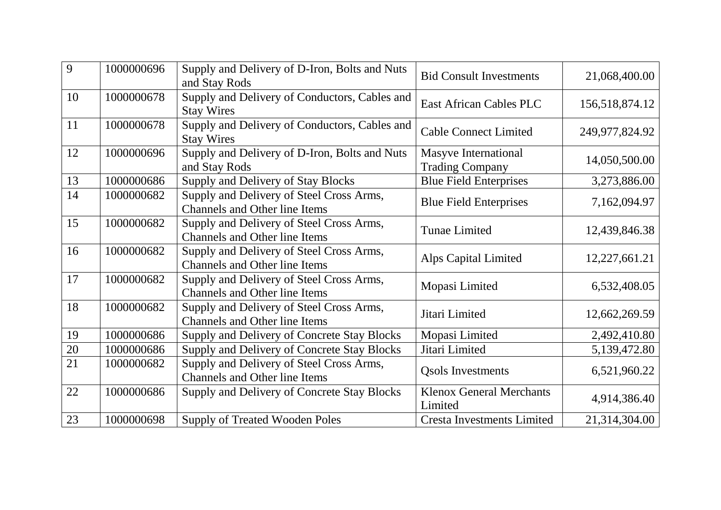| 9  | 1000000696 | Supply and Delivery of D-Iron, Bolts and Nuts<br>and Stay Rods                   | <b>Bid Consult Investments</b>                        | 21,068,400.00  |
|----|------------|----------------------------------------------------------------------------------|-------------------------------------------------------|----------------|
| 10 | 1000000678 | Supply and Delivery of Conductors, Cables and<br><b>Stay Wires</b>               | <b>East African Cables PLC</b>                        | 156,518,874.12 |
| 11 | 1000000678 | Supply and Delivery of Conductors, Cables and<br><b>Stay Wires</b>               | <b>Cable Connect Limited</b>                          | 249,977,824.92 |
| 12 | 1000000696 | Supply and Delivery of D-Iron, Bolts and Nuts<br>and Stay Rods                   | <b>Masyve International</b><br><b>Trading Company</b> | 14,050,500.00  |
| 13 | 1000000686 | Supply and Delivery of Stay Blocks                                               | <b>Blue Field Enterprises</b>                         | 3,273,886.00   |
| 14 | 1000000682 | Supply and Delivery of Steel Cross Arms,<br><b>Channels and Other line Items</b> | <b>Blue Field Enterprises</b>                         | 7,162,094.97   |
| 15 | 1000000682 | Supply and Delivery of Steel Cross Arms,<br><b>Channels and Other line Items</b> | <b>Tunae Limited</b>                                  | 12,439,846.38  |
| 16 | 1000000682 | Supply and Delivery of Steel Cross Arms,<br><b>Channels and Other line Items</b> | Alps Capital Limited                                  | 12,227,661.21  |
| 17 | 1000000682 | Supply and Delivery of Steel Cross Arms,<br><b>Channels and Other line Items</b> | Mopasi Limited                                        | 6,532,408.05   |
| 18 | 1000000682 | Supply and Delivery of Steel Cross Arms,<br><b>Channels and Other line Items</b> | Jitari Limited                                        | 12,662,269.59  |
| 19 | 1000000686 | Supply and Delivery of Concrete Stay Blocks                                      | Mopasi Limited                                        | 2,492,410.80   |
| 20 | 1000000686 | Supply and Delivery of Concrete Stay Blocks                                      | Jitari Limited                                        | 5,139,472.80   |
| 21 | 1000000682 | Supply and Delivery of Steel Cross Arms,<br><b>Channels and Other line Items</b> | <b>Qsols Investments</b>                              | 6,521,960.22   |
| 22 | 1000000686 | Supply and Delivery of Concrete Stay Blocks                                      | <b>Klenox General Merchants</b><br>Limited            | 4,914,386.40   |
| 23 | 1000000698 | <b>Supply of Treated Wooden Poles</b>                                            | <b>Cresta Investments Limited</b>                     | 21,314,304.00  |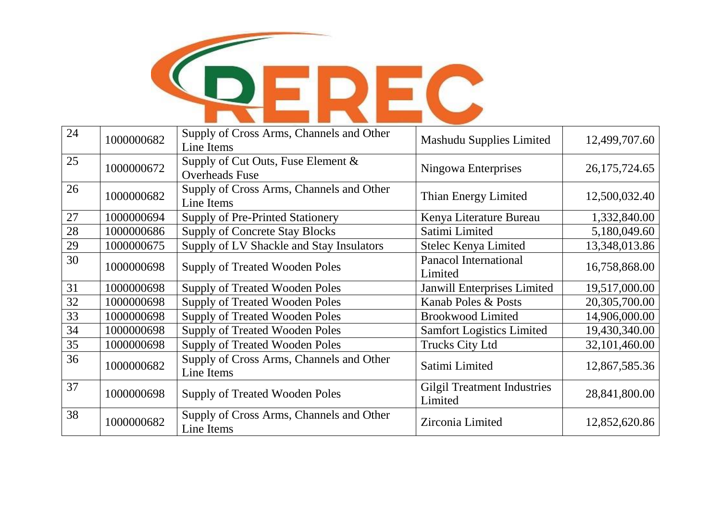

| 24 | 1000000682 | Supply of Cross Arms, Channels and Other<br>Line Items         | <b>Mashudu Supplies Limited</b>               | 12,499,707.60    |
|----|------------|----------------------------------------------------------------|-----------------------------------------------|------------------|
| 25 | 1000000672 | Supply of Cut Outs, Fuse Element $\&$<br><b>Overheads Fuse</b> | Ningowa Enterprises                           | 26, 175, 724. 65 |
| 26 | 1000000682 | Supply of Cross Arms, Channels and Other<br>Line Items         | Thian Energy Limited                          | 12,500,032.40    |
| 27 | 1000000694 | <b>Supply of Pre-Printed Stationery</b>                        | Kenya Literature Bureau                       | 1,332,840.00     |
| 28 | 1000000686 | <b>Supply of Concrete Stay Blocks</b>                          | Satimi Limited                                | 5,180,049.60     |
| 29 | 1000000675 | Supply of LV Shackle and Stay Insulators                       | Stelec Kenya Limited                          | 13,348,013.86    |
| 30 | 1000000698 | <b>Supply of Treated Wooden Poles</b>                          | <b>Panacol International</b><br>Limited       | 16,758,868.00    |
| 31 | 1000000698 | <b>Supply of Treated Wooden Poles</b>                          | Janwill Enterprises Limited                   | 19,517,000.00    |
| 32 | 1000000698 | <b>Supply of Treated Wooden Poles</b>                          | Kanab Poles & Posts                           | 20,305,700.00    |
| 33 | 1000000698 | <b>Supply of Treated Wooden Poles</b>                          | <b>Brookwood Limited</b>                      | 14,906,000.00    |
| 34 | 1000000698 | <b>Supply of Treated Wooden Poles</b>                          | <b>Samfort Logistics Limited</b>              | 19,430,340.00    |
| 35 | 1000000698 | <b>Supply of Treated Wooden Poles</b>                          | <b>Trucks City Ltd</b>                        | 32,101,460.00    |
| 36 | 1000000682 | Supply of Cross Arms, Channels and Other<br>Line Items         | Satimi Limited                                | 12,867,585.36    |
| 37 | 1000000698 | <b>Supply of Treated Wooden Poles</b>                          | <b>Gilgil Treatment Industries</b><br>Limited | 28,841,800.00    |
| 38 | 1000000682 | Supply of Cross Arms, Channels and Other<br>Line Items         | Zirconia Limited                              | 12,852,620.86    |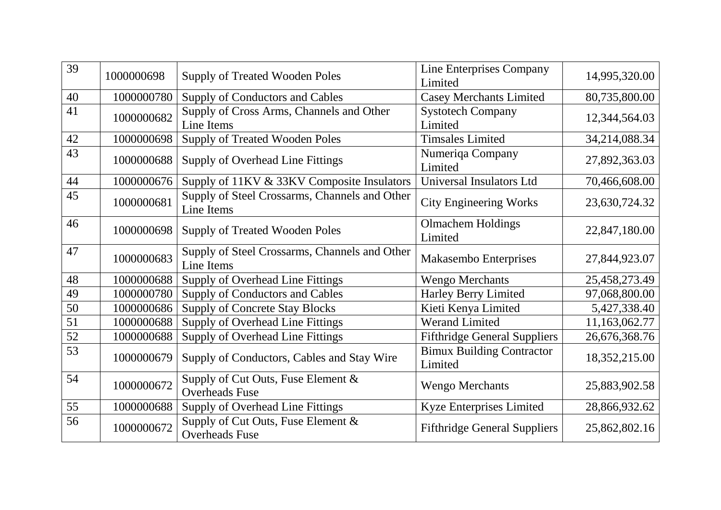| 39 | 1000000698 | <b>Supply of Treated Wooden Poles</b>                       | Line Enterprises Company<br>Limited         | 14,995,320.00 |
|----|------------|-------------------------------------------------------------|---------------------------------------------|---------------|
| 40 | 1000000780 | Supply of Conductors and Cables                             | <b>Casey Merchants Limited</b>              | 80,735,800.00 |
| 41 | 1000000682 | Supply of Cross Arms, Channels and Other<br>Line Items      | <b>Systotech Company</b><br>Limited         | 12,344,564.03 |
| 42 | 1000000698 | <b>Supply of Treated Wooden Poles</b>                       | <b>Timsales Limited</b>                     | 34,214,088.34 |
| 43 | 1000000688 | Supply of Overhead Line Fittings                            | Numeriqa Company<br>Limited                 | 27,892,363.03 |
| 44 | 1000000676 | Supply of 11KV & 33KV Composite Insulators                  | Universal Insulators Ltd                    | 70,466,608.00 |
| 45 | 1000000681 | Supply of Steel Crossarms, Channels and Other<br>Line Items | <b>City Engineering Works</b>               | 23,630,724.32 |
| 46 | 1000000698 | <b>Supply of Treated Wooden Poles</b>                       | <b>Olmachem Holdings</b><br>Limited         | 22,847,180.00 |
| 47 | 1000000683 | Supply of Steel Crossarms, Channels and Other<br>Line Items | Makasembo Enterprises                       | 27,844,923.07 |
| 48 | 1000000688 | Supply of Overhead Line Fittings                            | <b>Wengo Merchants</b>                      | 25,458,273.49 |
| 49 | 1000000780 | Supply of Conductors and Cables                             | <b>Harley Berry Limited</b>                 | 97,068,800.00 |
| 50 | 1000000686 | <b>Supply of Concrete Stay Blocks</b>                       | Kieti Kenya Limited                         | 5,427,338.40  |
| 51 | 1000000688 | Supply of Overhead Line Fittings                            | <b>Werand Limited</b>                       | 11,163,062.77 |
| 52 | 1000000688 | <b>Supply of Overhead Line Fittings</b>                     | <b>Fifthridge General Suppliers</b>         | 26,676,368.76 |
| 53 | 1000000679 | Supply of Conductors, Cables and Stay Wire                  | <b>Bimux Building Contractor</b><br>Limited | 18,352,215.00 |
| 54 | 1000000672 | Supply of Cut Outs, Fuse Element &<br><b>Overheads Fuse</b> | <b>Wengo Merchants</b>                      | 25,883,902.58 |
| 55 | 1000000688 | Supply of Overhead Line Fittings                            | Kyze Enterprises Limited                    | 28,866,932.62 |
| 56 | 1000000672 | Supply of Cut Outs, Fuse Element &<br><b>Overheads Fuse</b> | <b>Fifthridge General Suppliers</b>         | 25,862,802.16 |